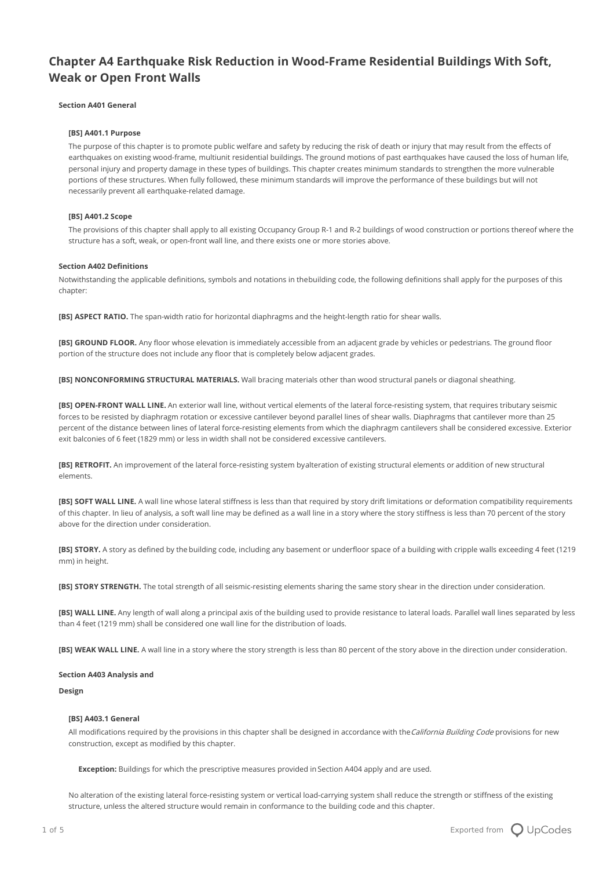# **Chapter A4 Earthquake Risk Reduction in Wood-Frame Residential Buildings With Soft, Weak or Open Front Walls**

## **Section A401 General**

# **[BS] A401.1 Purpose**

The purpose of this chapter is to promote public welfare and safety by reducing the risk of death or injury that may result from the effects of earthquakes on existing wood-frame, multiunit residential buildings. The ground motions of past earthquakes have caused the loss of human life, personal injury and property damage in these types of buildings. This chapter creates minimum standards to strengthen the more vulnerable portions of these structures. When fully followed, these minimum standards will improve the performance of these buildings but will not necessarily prevent all earthquake-related damage.

#### **[BS] A401.2 Scope**

The provisions of this chapter shall apply to all existing Occupancy Group R-1 and R-2 buildings of wood construction or portions thereof where the structure has a soft, weak, or open-front wall line, and there exists one or more stories above.

# **Section A402 Definitions**

Notwithstanding the applicable definitions, symbols and notations in thebuilding code, the following definitions shall apply for the purposes of this chapter:

**[BS] ASPECT RATIO.** The span-width ratio for horizontal diaphragms and the height-length ratio for shear walls.

**[BS] GROUND FLOOR.** Any floor whose elevation is immediately accessible from an adjacent grade by vehicles or pedestrians. The ground floor portion of the structure does not include any floor that is completely below adjacent grades.

**[BS] NONCONFORMING STRUCTURAL MATERIALS.** Wall bracing materials other than wood structural panels or diagonal sheathing.

**[BS] OPEN-FRONT WALL LINE.** An exterior wall line, without vertical elements of the lateral force-resisting system, that requires tributary seismic forces to be resisted by diaphragm rotation or excessive cantilever beyond parallel lines of shear walls. Diaphragms that cantilever more than 25 percent of the distance between lines of lateral force-resisting elements from which the diaphragm cantilevers shall be considered excessive. Exterior exit balconies of 6 feet (1829 mm) or less in width shall not be considered excessive cantilevers.

**[BS] RETROFIT.** An improvement of the lateral force-resisting system byalteration of existing structural elements or addition of new structural elements.

**[BS] SOFT WALL LINE.** A wall line whose lateral stiffness is less than that required by story drift limitations or deformation compatibility requirements of this chapter. In lieu of analysis, a soft wall line may be defined as a wall line in a story where the story stiffness is less than 70 percent of the story above for the direction under consideration.

**[BS] STORY.** A story as defined by the building code, including any basement or underfloor space of a building with cripple walls exceeding 4 feet (1219 mm) in height.

**[BS] STORY STRENGTH.** The total strength of all seismic-resisting elements sharing the same story shear in the direction under consideration.

**[BS] WALL LINE.** Any length of wall along a principal axis of the building used to provide resistance to lateral loads. Parallel wall lines separated by less than 4 feet (1219 mm) shall be considered one wall line for the distribution of loads.

**[BS] WEAK WALL LINE.** A wall line in a story where the story strength is less than 80 percent of the story above in the direction under consideration.

#### **Section A403 Analysis and**

#### **Design**

#### **[BS] A403.1 General**

All modifications required by the provisions in this chapter shall be designed in accordance with the California Building Code provisions for new construction, except as modified by this chapter.

**Exception:** Buildings for which the prescriptive measures provided in Section A404 apply and are used.

No alteration of the existing lateral force-resisting system or vertical load-carrying system shall reduce the strength or stiffness of the existing structure, unless the altered structure would remain in conformance to the building code and this chapter.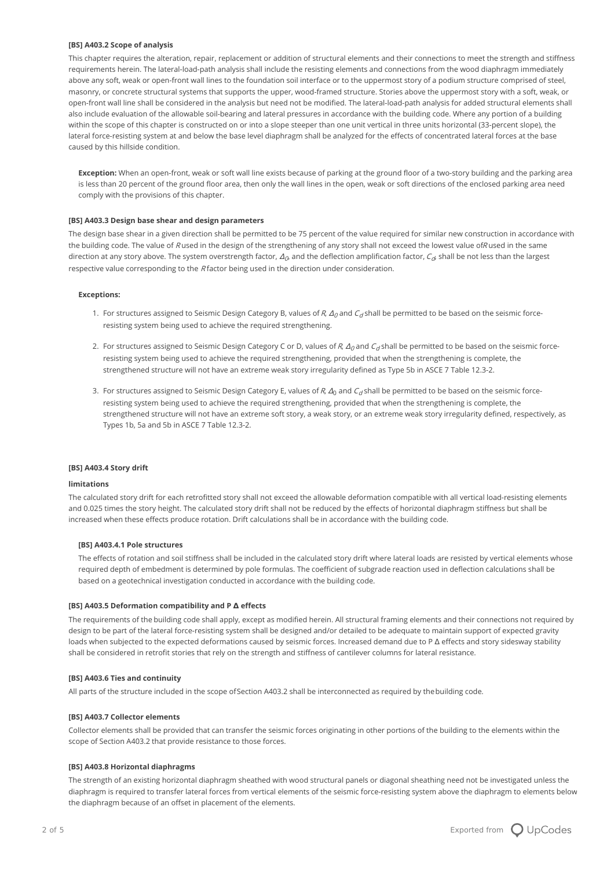### **[BS] A403.2 Scope of analysis**

This chapter requires the alteration, repair, replacement or addition of structural elements and their connections to meet the strength and stiffness requirements herein. The lateral-load-path analysis shall include the resisting elements and connections from the wood diaphragm immediately above any soft, weak or open-front wall lines to the foundation soil interface or to the uppermost story of a podium structure comprised of steel, masonry, or concrete structural systems that supports the upper, wood-framed structure. Stories above the uppermost story with a soft, weak, or open-front wall line shall be considered in the analysis but need not be modified. The lateral-load-path analysis for added structural elements shall also include evaluation of the allowable soil-bearing and lateral pressures in accordance with the building code. Where any portion of a building within the scope of this chapter is constructed on or into a slope steeper than one unit vertical in three units horizontal (33-percent slope), the lateral force-resisting system at and below the base level diaphragm shall be analyzed for the effects of concentrated lateral forces at the base caused by this hillside condition.

**Exception:** When an open-front, weak or soft wall line exists because of parking at the ground floor of a two-story building and the parking area is less than 20 percent of the ground floor area, then only the wall lines in the open, weak or soft directions of the enclosed parking area need comply with the provisions of this chapter.

# **[BS] A403.3 Design base shear and design parameters**

The design base shear in a given direction shall be permitted to be 75 percent of the value required for similar new construction in accordance with the building code. The value of R used in the design of the strengthening of any story shall not exceed the lowest value ofR used in the same direction at any story above. The system overstrength factor,  $\varLambda_{0}$  and the deflection amplification factor,  $C_{0}$  shall be not less than the largest respective value corresponding to the  $R$  factor being used in the direction under consideration.

## **Exceptions:**

- 1. For structures assigned to Seismic Design Category B, values of R,  $\Delta_0$  and  $C_A$ shall be permitted to be based on the seismic forceresisting system being used to achieve the required strengthening.
- 2. For structures assigned to Seismic Design Category C or D, values of R,  $\Delta_0$  and  $C_d$  shall be permitted to be based on the seismic forceresisting system being used to achieve the required strengthening, provided that when the strengthening is complete, the strengthened structure will not have an extreme weak story irregularity defined as Type 5b in ASCE 7 Table 12.3-2.
- 3. For structures assigned to Seismic Design Category E, values of R,  $\Delta_0$  and  $C_d$  shall be permitted to be based on the seismic forceresisting system being used to achieve the required strengthening, provided that when the strengthening is complete, the strengthened structure will not have an extreme soft story, a weak story, or an extreme weak story irregularity defined, respectively, as Types 1b, 5a and 5b in ASCE 7 Table 12.3-2.

# **[BS] A403.4 Story drift**

## **limitations**

The calculated story drift for each retrofitted story shall not exceed the allowable deformation compatible with all vertical load-resisting elements and 0.025 times the story height. The calculated story drift shall not be reduced by the effects of horizontal diaphragm stiffness but shall be increased when these effects produce rotation. Drift calculations shall be in accordance with the building code.

#### **[BS] A403.4.1 Pole structures**

The effects of rotation and soil stiffness shall be included in the calculated story drift where lateral loads are resisted by vertical elements whose required depth of embedment is determined by pole formulas. The coefficient of subgrade reaction used in deflection calculations shall be based on a geotechnical investigation conducted in accordance with the building code.

#### **[BS] A403.5 Deformation compatibility and P Δ effects**

The requirements of the building code shall apply, except as modified herein. All structural framing elements and their connections not required by design to be part of the lateral force-resisting system shall be designed and/or detailed to be adequate to maintain support of expected gravity loads when subjected to the expected deformations caused by seismic forces. Increased demand due to P Δ effects and story sidesway stability shall be considered in retrofit stories that rely on the strength and stiffness of cantilever columns for lateral resistance.

## **[BS] A403.6 Ties and continuity**

All parts of the structure included in the scope ofSection A403.2 shall be interconnected as required by thebuilding code.

#### **[BS] A403.7 Collector elements**

Collector elements shall be provided that can transfer the seismic forces originating in other portions of the building to the elements within the scope of Section A403.2 that provide resistance to those forces.

#### **[BS] A403.8 Horizontal diaphragms**

The strength of an existing horizontal diaphragm sheathed with wood structural panels or diagonal sheathing need not be investigated unless the diaphragm is required to transfer lateral forces from vertical elements of the seismic force-resisting system above the diaphragm to elements below the diaphragm because of an offset in placement of the elements.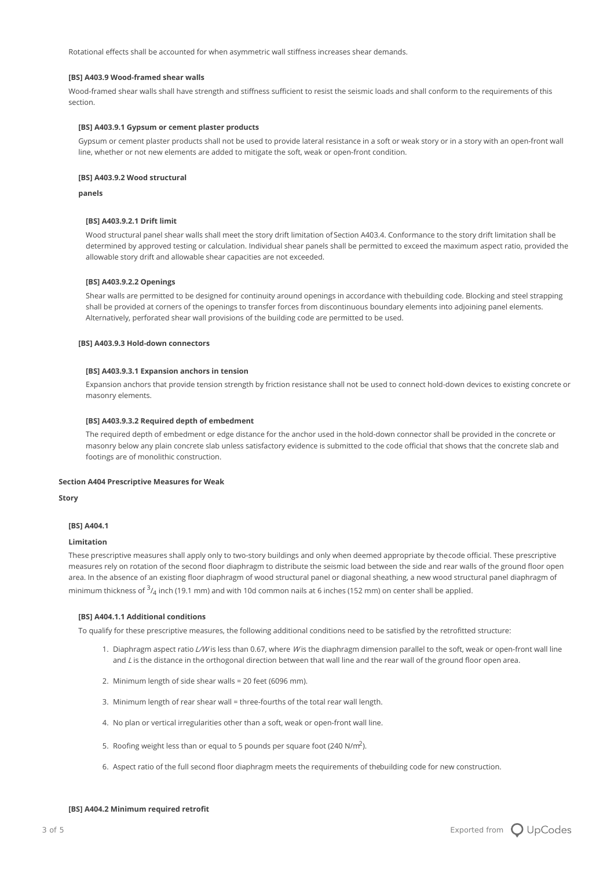Rotational effects shall be accounted for when asymmetric wall stiffness increases shear demands.

## **[BS] A403.9 Wood-framed shear walls**

Wood-framed shear walls shall have strength and stiffness sufficient to resist the seismic loads and shall conform to the requirements of this section.

## **[BS] A403.9.1 Gypsum or cement plaster products**

Gypsum or cement plaster products shall not be used to provide lateral resistance in a soft or weak story or in a story with an open-front wall line, whether or not new elements are added to mitigate the soft, weak or open-front condition.

# **[BS] A403.9.2 Wood structural**

**panels**

# **[BS] A403.9.2.1 Drift limit**

Wood structural panel shear walls shall meet the story drift limitation ofSection A403.4. Conformance to the story drift limitation shall be determined by approved testing or calculation. Individual shear panels shall be permitted to exceed the maximum aspect ratio, provided the allowable story drift and allowable shear capacities are not exceeded.

## **[BS] A403.9.2.2 Openings**

Shear walls are permitted to be designed for continuity around openings in accordance with thebuilding code. Blocking and steel strapping shall be provided at corners of the openings to transfer forces from discontinuous boundary elements into adjoining panel elements. Alternatively, perforated shear wall provisions of the building code are permitted to be used.

# **[BS] A403.9.3 Hold-down connectors**

## **[BS] A403.9.3.1 Expansion anchors in tension**

Expansion anchors that provide tension strength by friction resistance shall not be used to connect hold-down devices to existing concrete or masonry elements.

# **[BS] A403.9.3.2 Required depth of embedment**

The required depth of embedment or edge distance for the anchor used in the hold-down connector shall be provided in the concrete or masonry below any plain concrete slab unless satisfactory evidence is submitted to the code official that shows that the concrete slab and footings are of monolithic construction.

# **Section A404 Prescriptive Measures for Weak**

**Story**

# **[BS] A404.1**

## **Limitation**

These prescriptive measures shall apply only to two-story buildings and only when deemed appropriate by thecode official. These prescriptive measures rely on rotation of the second floor diaphragm to distribute the seismic load between the side and rear walls of the ground floor open area. In the absence of an existing floor diaphragm of wood structural panel or diagonal sheathing, a new wood structural panel diaphragm of minimum thickness of  $^3\!I_4$  inch (19.1 mm) and with 10d common nails at 6 inches (152 mm) on center shall be applied.

#### **[BS] A404.1.1 Additional conditions**

To qualify for these prescriptive measures, the following additional conditions need to be satisfied by the retrofitted structure:

- 1. Diaphragm aspect ratio L/W is less than 0.67, where W is the diaphragm dimension parallel to the soft, weak or open-front wall line and L is the distance in the orthogonal direction between that wall line and the rear wall of the ground floor open area.
- 2. Minimum length of side shear walls = 20 feet (6096 mm).
- 3. Minimum length of rear shear wall = three-fourths of the total rear wall length.
- 4. No plan or vertical irregularities other than a soft, weak or open-front wall line.
- 5. Roofing weight less than or equal to 5 pounds per square foot (240 N/ $m^2$ ).
- 6. Aspect ratio of the full second floor diaphragm meets the requirements of thebuilding code for new construction.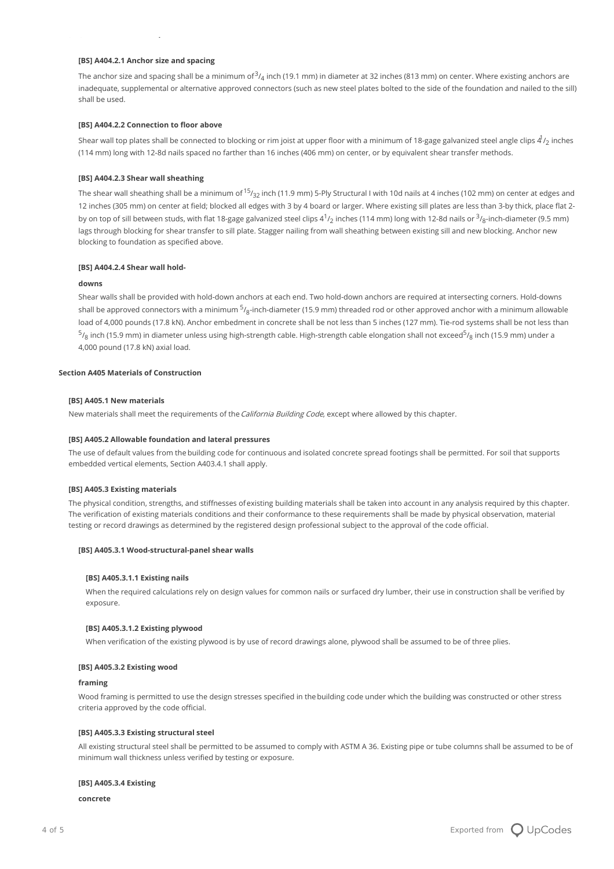# **[BS] A404.2.1 Anchor size and spacing**

The anchor size and spacing shall be a minimum of $^3\!/_4$  inch (19.1 mm) in diameter at 32 inches (813 mm) on center. Where existing anchors are inadequate, supplemental or alternative approved connectors (such as new steel plates bolted to the side of the foundation and nailed to the sill) shall be used.

## **[BS] A404.2.2 Connection to floor above**

Shear wall top plates shall be connected to blocking or rim joist at upper floor with a minimum of 18-gage galvanized steel angle clips  $4^{\rm J}_{\rm /2}$  inches (114 mm) long with 12-8d nails spaced no farther than 16 inches (406 mm) on center, or by equivalent shear transfer methods.

## **[BS] A404.2.3 Shear wall sheathing**

The shear wall sheathing shall be a minimum of  $^{15}\prime_{32}$  inch (11.9 mm) 5-Ply Structural I with 10d nails at 4 inches (102 mm) on center at edges and 12 inches (305 mm) on center at field; blocked all edges with 3 by 4 board or larger. Where existing sill plates are less than 3-by thick, place flat 2 by on top of sill between studs, with flat 18-gage galvanized steel clips 4 $^1\prime_2$  inches (114 mm) long with 12-8d nails or  $^3\prime_8$ -inch-diameter (9.5 mm) lags through blocking for shear transfer to sill plate. Stagger nailing from wall sheathing between existing sill and new blocking. Anchor new blocking to foundation as specified above.

# **[BS] A404.2.4 Shear wall hold-**

# **downs**

Shear walls shall be provided with hold-down anchors at each end. Two hold-down anchors are required at intersecting corners. Hold-downs shall be approved connectors with a minimum  $^5\prime_8$ -inch-diameter (15.9 mm) threaded rod or other approved anchor with a minimum allowable load of 4,000 pounds (17.8 kN). Anchor embedment in concrete shall be not less than 5 inches (127 mm). Tie-rod systems shall be not less than  $^5\prime_8$  inch (15.9 mm) in diameter unless using high-strength cable. High-strength cable elongation shall not exceed $^5\prime_8$  inch (15.9 mm) under a 4,000 pound (17.8 kN) axial load.

# **Section A405 Materials of Construction**

## **[BS] A405.1 New materials**

New materials shall meet the requirements of the California Building Code, except where allowed by this chapter.

## **[BS] A405.2 Allowable foundation and lateral pressures**

The use of default values from the building code for continuous and isolated concrete spread footings shall be permitted. For soil that supports embedded vertical elements, Section A403.4.1 shall apply.

## **[BS] A405.3 Existing materials**

The physical condition, strengths, and stiffnesses of existing building materials shall be taken into account in any analysis required by this chapter. The verification of existing materials conditions and their conformance to these requirements shall be made by physical observation, material testing or record drawings as determined by the registered design professional subject to the approval of the code official.

## **[BS] A405.3.1 Wood-structural-panel shear walls**

#### **[BS] A405.3.1.1 Existing nails**

When the required calculations rely on design values for common nails or surfaced dry lumber, their use in construction shall be verified by exposure.

## **[BS] A405.3.1.2 Existing plywood**

When verification of the existing plywood is by use of record drawings alone, plywood shall be assumed to be of three plies.

# **[BS] A405.3.2 Existing wood**

## **framing**

Wood framing is permitted to use the design stresses specified in thebuilding code under which the building was constructed or other stress criteria approved by the code official.

# **[BS] A405.3.3 Existing structural steel**

All existing structural steel shall be permitted to be assumed to comply with ASTM A 36. Existing pipe or tube columns shall be assumed to be of minimum wall thickness unless verified by testing or exposure.

#### **[BS] A405.3.4 Existing**

**concrete**